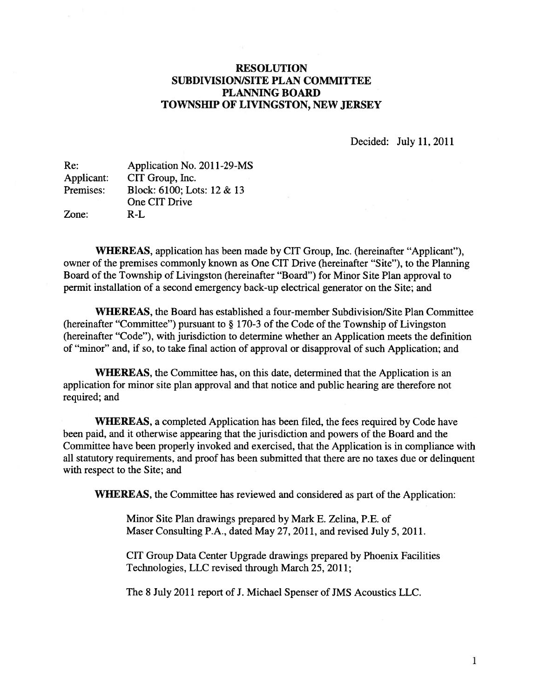# RESOLUTION SUBDIVISION/SITE PLAN COMMITTEE PLANNING BOARD TOWNSHIP OF LIVINGSTON, NEW JERSEY

Decided: July 11,2011

| Re:        | Application No. 2011-29-MS |
|------------|----------------------------|
| Applicant: | CIT Group, Inc.            |
| Premises:  | Block: 6100; Lots: 12 & 13 |
|            | One CIT Drive              |
| Zone:      | $R-I$ .                    |

WHEREAS, application has been made by CIT Group, Inc. (hereinafter "Applicant"), owner of the premises commonly known as One CIT Drive (hereinafter "Site"), to the Planning Board of the Township of Livingston (hereinafter "Board") for Minor Site Plan approval to permit installation of <sup>a</sup> second emergency back-up electrical generator on the Site; and

WHEREAS, the Board has established <sup>a</sup> four-member Subdivision/Site Plan Committee (hereinafter "Committee") pursuan<sup>t</sup> to § 170-3 of the Code of the Township of Livingston (hereinafter "Code"), with jurisdiction to determine whether an Application meets the definition of "minor" and, if so, to take final action of approval or disapproval of such Application; and

WHEREAS, the Committee has, on this date, determined that the Application is an application for minor site plan approval and that notice and public hearing are therefore not required; and

WHEREAS, <sup>a</sup> completed Application has been filed, the fees required by Code have been paid, and it otherwise appearing that the jurisdiction and powers of the Board and the Committee have been properly invoked and exercised, that the Application is in compliance with all statutory requirements, and proof has been submitted that there are no taxes due or delinquent with respec<sup>t</sup> to the Site; and

WHEREAS, the Committee has reviewed and considered as par<sup>t</sup> of the Application:

Minor Site Plan drawings prepared by Mark E. Zelina, P.E. of Maser Consulting P.A., dated May 27, 2011, and revised July 5, 2011.

CIT Group Data Center Upgrade drawings prepared by Phoenix Facilities Technologies, LLC revised through March 25, 2011;

The 8 July 2011 repor<sup>t</sup> of J. Michael Spenser of JMS Acoustics LLC.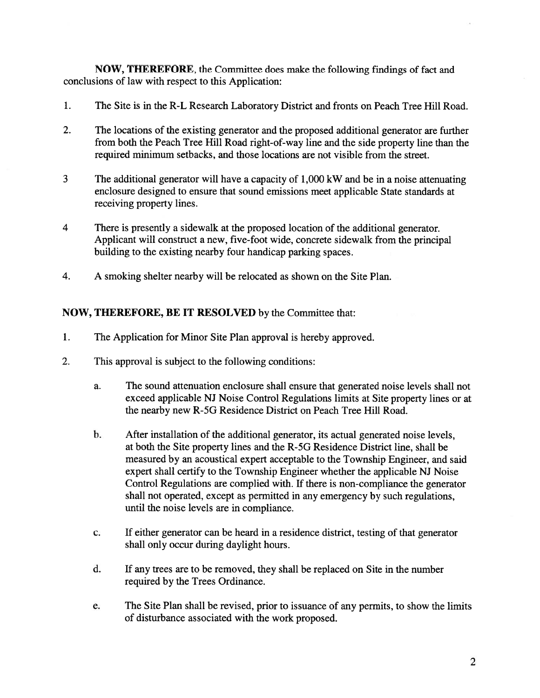NOW, THEREFORE, the Committee does make the following findings of fact and conclusions of law with respec<sup>t</sup> to this Application:

- 1. The Site is in the R-L Research Laboratory District and fronts on Peach Tree Hill Road.
- 2. The locations of the existing generator and the proposed additional generator are further from both the Peach Tree Hill Road right-of-way line and the side property line than the required minimum setbacks, and those locations are not visible from the street.
- 3 The additional generator will have <sup>a</sup> capacity of 1,000 kW and be in <sup>a</sup> noise attenuating enclosure designed to ensure that sound emissions meet applicable State standards at receiving property lines.
- 4 There is presently <sup>a</sup> sidewalk at the proposed location of the additional generator. Applicant will construct <sup>a</sup> new, five-foot wide, concrete sidewalk from the principal building to the existing nearby four handicap parking spaces.
- 4. A smoking shelter nearby will be relocated as shown on the Site Plan.

## NOW, THEREFORE, BE IT RESOLVED by the Committee that:

- 1. The Application for Minor Site Plan approval is hereby approved.
- 2. This approval is subject to the following conditions:
	- a. The sound attenuation enclosure shall ensure that generated noise levels shall not exceed applicable NJ Noise Control Regulations limits at Site property lines or at the nearby new R-5G Residence District on Peach Tree Hill Road.
	- b. After installation of the additional generator, its actual generated noise levels, at both the Site property lines and the R-5G Residence District line, shall be measured by an acoustical exper<sup>t</sup> acceptable to the Township Engineer, and said exper<sup>t</sup> shall certify to the Township Engineer whether the applicable NJ Noise Control Regulations are complied with. If there is non-compliance the generator shall not operated, excep<sup>t</sup> as permitted in any emergency by such regulations, until the noise levels are in compliance.
	- c. If either generator can be heard in <sup>a</sup> residence district, testing of that generator shall only occur during daylight hours.
	- d. If any trees are to be removed, they shall be replaced on Site in the number required by the Trees Ordinance.
	- e. The Site Plan shall be revised, prior to issuance of any permits, to show the limits of disturbance associated with the work proposed.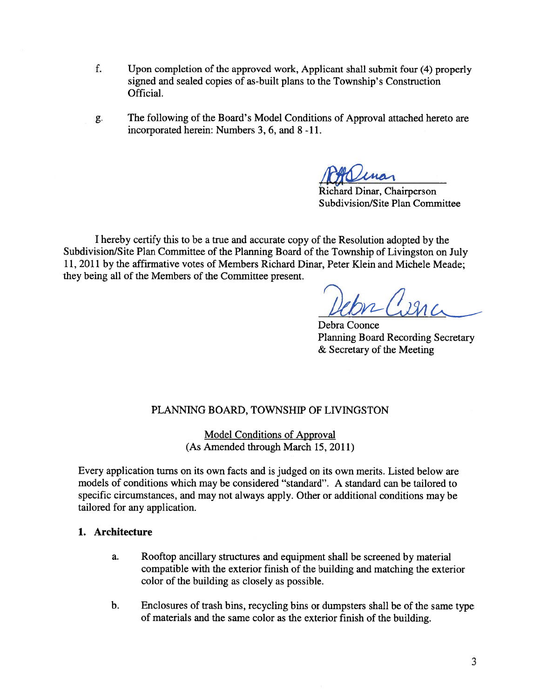- f. Upon completion of the approved work, Applicant shall submit four (4) properly signed and sealed copies of as-built plans to the Township's Construction Official.
- g. The following of the Board's Model Conditions of Approval attached hereto are incorporated herein: Numbers 3, 6, and 8 -11.

Richard Dinar, Chairperson Subdivision/Site Plan Committee

<sup>I</sup> hereby certify this to be <sup>a</sup> true and accurate copy of the Resolution adopted by the Subdivision/Site Plan Committee of the Planning Board of the Township of Livingston on July 11, 2011 by the affirmative votes of Members Richard Dinar, Peter Klein and Michele Meade; they being all of the Members of the Committee present.

Debra Coonce Planning Board Recording Secretary & Secretary of the Meeting

# PLANNING BOARD, TOWNSHIP OF LIVINGSTON

Model Conditions of Approval (As Amended through March 15, 2011)

Every application turns on its own facts and is judged on its own merits. Listed below are models of conditions which may be considered "standard". A standard can be tailored to specific circumstances, and may not always apply. Other or additional conditions may be tailored for any application.

# 1. Architecture

- a. Rooftop ancillary structures and equipment shall be screened by material compatible with the exterior finish of the building and matching the exterior color of the building as closely as possible.
- b. Enclosures of trash bins, recycling bins or dumpsters shall be of the same type of materials and the same color as the exterior finish of the building.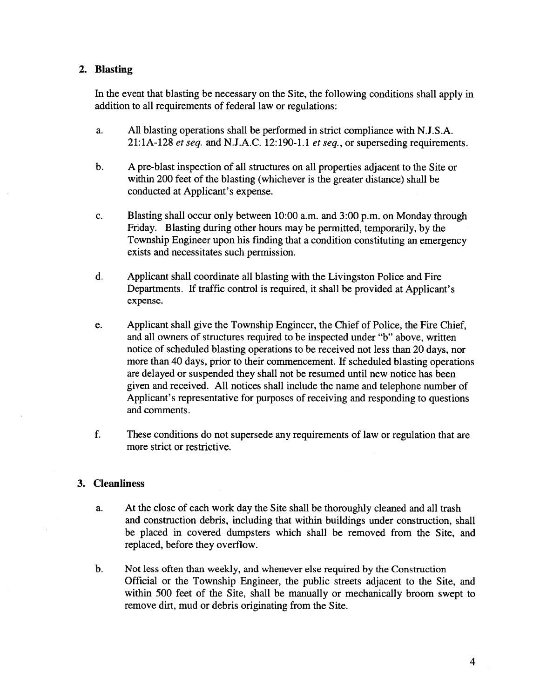## 2. Blasting

In the event that blasting be necessary on the Site, the following conditions shall apply in addition to all requirements of federal law or regulations:

- a. All blasting operations shall be performed in strict compliance with N.J.S.A. 21:1A-128 et seq. and N.J.A.C. 12:190-1.1 et seq., or superseding requirements.
- b. A pre-blast inspection of all structures on all properties adjacent to the Site or within 200 feet of the blasting (whichever is the greater distance) shall be conducted at Applicant's expense.
- c. Blasting shall occur only between 10:00 a.m. and 3:00 p.m. on Monday through Friday. Blasting during other hours may be permitted, temporarily, by the Township Engineer upon his finding that <sup>a</sup> condition constituting an emergency exists and necessitates such permission.
- d. Applicant shall coordinate all blasting with the Livingston Police and Fire Departments. If traffic control is required, it shall be provided at Applicant's expense.
- e. Applicant shall give the Township Engineer, the Chief of Police, the Fire Chief, and all owners of structures required to be inspected under "b" above, written notice of scheduled blasting operations to be received not less than 20 days, nor more than 40 days, prior to their commencement. If scheduled blasting operations are delayed or suspended they shall not be resumed until new notice has been given and received. All notices shall include the name and telephone number of Applicant's representative for purposes of receiving and responding to questions and comments.
- f. These conditions do not supersede any requirements of law or regulation that are more strict or restrictive.

## 3. Cleanliness

- a. At the close of each work day the Site shall be thoroughly cleaned and all trash and construction debris, including that within buildings under construction, shall be placed in covered dumpsters which shall be removed from the Site, and replaced, before they overflow.
- b. Not less often than weekly, and whenever else required by the Construction Official or the Township Engineer, the public streets adjacent to the Site, and within <sup>500</sup> feet of the Site, shall be manually or mechanically broom swep<sup>t</sup> to remove dirt, mud or debris originating from the Site.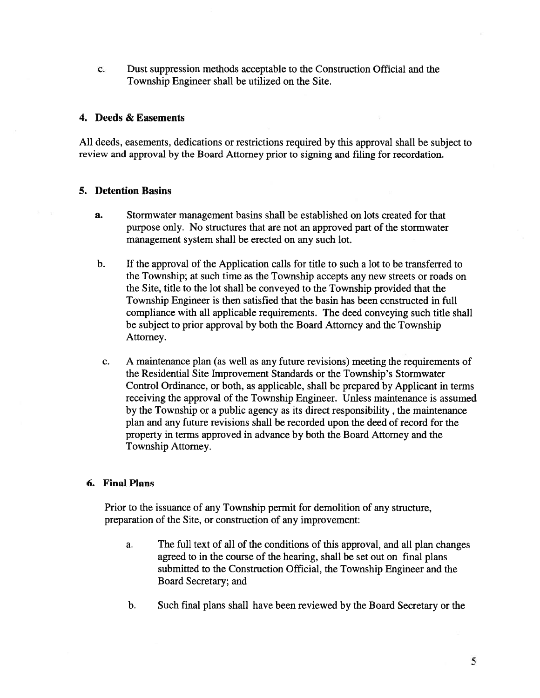c. Dust suppression methods acceptable to the Construction Official and the Township Engineer shall be utilized on the Site.

#### 4. Deeds & Easements

All deeds, easements, dedications or restrictions required by this approval shall be subject to review and approval by the Board Attorney prior to signing and filing for recordation.

#### 5. Detention Basins

- a. Stormwater managemen<sup>t</sup> basins shall be established on lots created for that purpose only. No structures that are not an approved par<sup>t</sup> of the stormwater managemen<sup>t</sup> system shall be erected on any such lot.
- b. If the approval of the Application calls for title to such <sup>a</sup> lot to be transferred to the Township; at such time as the Township accepts any new streets or roads on the Site, title to the lot shall be conveyed to the Township provided that the Township Engineer is then satisfied that the basin has been constructed in full compliance with all applicable requirements. The deed conveying such title shall be subject to prior approval by both the Board Attorney and the Township Attorney.
- c. A maintenance plan (as well as any future revisions) meeting the requirements of the Residential Site Improvement Standards or the Township's Stormwater Control Ordinance, or both, as applicable, shall be prepared by Applicant in terms receiving the approval of the Township Engineer. Unless maintenance is assumed by the Township or <sup>a</sup> public agency as its direct responsibility, the maintenance plan and any future revisions shall be recorded upon the deed of record for the property in terms approved in advance by both the Board Attorney and the Township Attorney.

#### 6. Final Plans

Prior to the issuance of any Township permit for demolition of any structure, preparation of the Site, or construction of any improvement:

- a. The full text of all of the conditions of this approval, and all plan changes agreed to in the course of the hearing, shall be set out on final plans submitted to the Construction Official, the Township Engineer and the Board Secretary; and
- b. Such final plans shall have been reviewed by the Board Secretary or the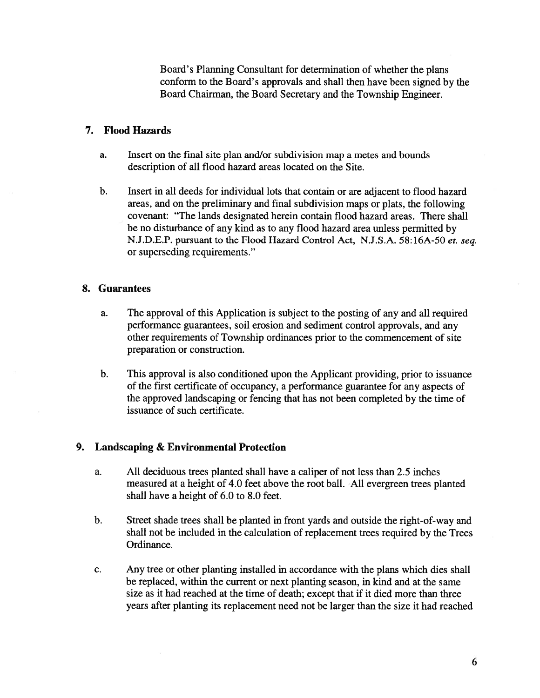Board's Planning Consultant for determination of whether the plans conform to the Board's approvals and shall then have been signed by the Board Chairman, the Board Secretary and the Township Engineer.

## 7. Flood Hazards

- a. Insert on the final site plan and/or subdivision map <sup>a</sup> metes and bounds description of all flood hazard areas located on the Site.
- b. Insert in all deeds for individual lots that contain or are adjacent to flood hazard areas, and on the preliminary and final subdivision maps or plats, the following covenant: "The lands designated herein contain flood hazard areas. There shall be no disturbance of any kind as to any flood hazard area unless permitted by N.J.D.E.P. pursuan<sup>t</sup> to the Flood Hazard Control Act, N.J.S.A. 58:16A-50 et. seq. or superseding requirements."

#### 8. Guarantees

- a. The approval of this Application is subject to the posting of any and all required performance guarantees, soil erosion and sediment control approvals, and any other requirements of Township ordinances prior to the commencement of site preparation or construction.
- b. This approval is also conditioned upon the Applicant providing, prior to issuance of the first certificate of occupancy, <sup>a</sup> performance guarantee for any aspects of the approved landscaping or fencing that has not been completed by the time of issuance of such certificate.

## 9. Landscaping & Environmental Protection

- a. All deciduous trees planted shall have <sup>a</sup> caliper of not less than 2.5 inches measured at <sup>a</sup> height of 4.0 feet above the root ball. All evergreen trees <sup>p</sup>lanted shall have <sup>a</sup> height of 6.0 to 8.0 feet.
- b. Street shade trees shall be planted in front yards and outside the right-of-way and shall not be included in the calculation of replacement trees required by the Trees Ordinance.
- c. Any tree or other planting installed in accordance with the plans which dies shall be replaced, within the current or next planting season, in kind and at the same size as it had reached at the time of death; excep<sup>t</sup> that if it died more than three years after planting its replacement need not be larger than the size it had reached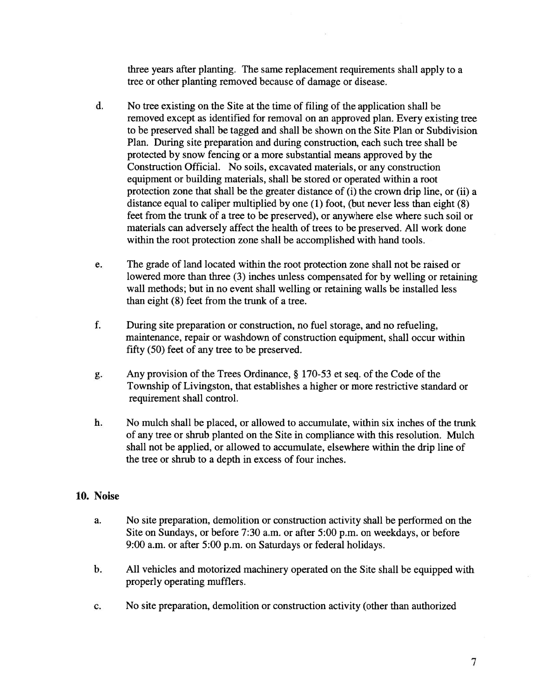three years after planting. The same replacement requirements shall apply to <sup>a</sup> tree or other planting removed because of damage or disease.

- d. No tree existing on the Site at the time of filing of the application shall be removed excep<sup>t</sup> as identified for removal on an approved plan. Every existing tree to be preserved shall be tagged and shall be shown on the Site Plan or Subdivision Plan. During site preparation and during construction, each such tree shall be protected by snow fencing or <sup>a</sup> more substantial means approved by the Construction Official. No soils, excavated materials, or any construction equipment or building materials, shall be stored or operated within <sup>a</sup> root protection zone that shall be the greater distance of (i) the crown drip line, or (ii) <sup>a</sup> distance equal to caliper multiplied by one (1) foot, (but never less than eight (8) feet from the trunk of <sup>a</sup> tree to be preserved), or anywhere else where such soil or materials can adversely affect the health of trees to be preserved. All work done within the root protection zone shall be accomplished with hand tools.
- e. The grade of land located within the root protection zone shall not be raised or lowered more than three (3) inches unless compensated for by welling or retaining wall methods; but in no event shall welling or retaining walls be installed less than eight (8) feet from the trunk of <sup>a</sup> tree.
- f. During site preparation or construction, no fuel storage, and no refueling, maintenance, repair or washdown of construction equipment, shall occur within fifty (50) feet of any tree to be preserved.
- g. Any provision of the Trees Ordinance, § 170-53 et seq. of the Code of the Township of Livingston, that establishes <sup>a</sup> higher or more restrictive standard or requirement shall control.
- h. No mulch shall be placed, or allowed to accumulate, within six inches of the trunk of any tree or shrub planted on the Site in compliance with this resolution. Mulch shall not be applied, or allowed to accumulate, elsewhere within the drip line of the tree or shrub to <sup>a</sup> depth in excess of four inches.

# 10. Noise

- a. No site preparation, demolition or construction activity shall be performed on the Site on Sundays, or before 7:30 a.m. or after 5:00 p.m. on weekdays, or before 9:00 a.m. or after 5:00 p.m. on Saturdays or federal holidays.
- b. All vehicles and motorized machinery operated on the Site shall be equipped with properly operating mufflers.
- c. No site preparation, demolition or construction activity (other than authorized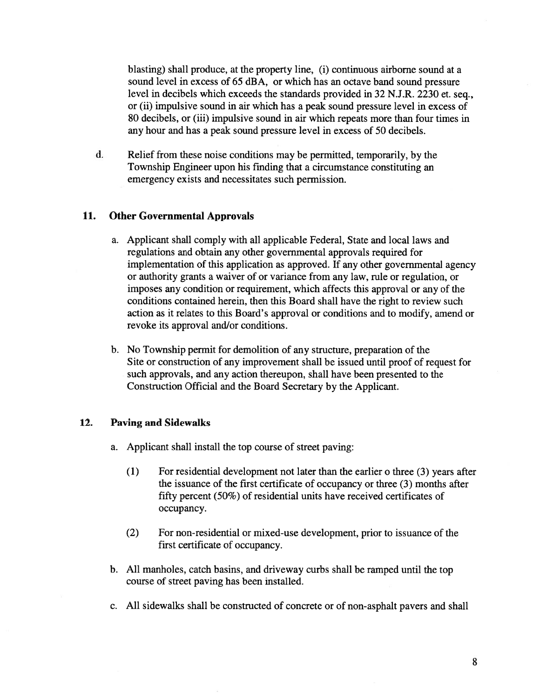blasting) shall produce, at the property line, (i) continuous airborne sound at <sup>a</sup> sound level in excess of 65 dBA, or which has an octave band sound pressure level in decibels which exceeds the standards provided in 32 N.J.R. 2230 et. seq., or (ii) impulsive sound in air which has <sup>a</sup> peak sound pressure level in excess of 80 decibels, or (iii) impulsive sound in air which repeats more than four times in any hour and has <sup>a</sup> peak sound pressure level in excess of 50 decibels.

d. Relief from these noise conditions may be permitted, temporarily, by the Township Engineer upon his finding that <sup>a</sup> circumstance constituting an emergency exists and necessitates such permission.

#### 11. Other Governmental Approvals

- a. Applicant shall comply with all applicable Federal, State and local laws and regulations and obtain any other governmental approvals required for implementation of this application as approved. If any other governmental agency or authority grants <sup>a</sup> waiver of or variance from any law, rule or regulation, or imposes any condition or requirement, which affects this approval or any of the conditions contained herein, then this Board shall have the right to review such action as it relates to this Board's approval or conditions and to modify, amend or revoke its approval and/or conditions.
- b. No Township permit for demolition of any structure, preparation of the Site or construction of any improvement shall be issued until proof of reques<sup>t</sup> for such approvals, and any action thereupon, shall have been presented to the Construction Official and the Board Secretary by the Applicant.

## 12. Paving and Sidewalks

- a. Applicant shall install the top course of street paving:
	- (1) For residential development not later than the earlier <sup>o</sup> three (3) years after the issuance of the first certificate of occupancy or three (3) months after fifty percen<sup>t</sup> (50%) of residential units have received certificates of occupancy.
	- (2) For non-residential or mixed-use development, prior to issuance of the first certificate of occupancy.
- b. All manholes, catch basins, and driveway curbs shall be ramped until the top course of street paving has been installed.
- c. All sidewalks shall be constructed of concrete or of non-asphalt payers and shall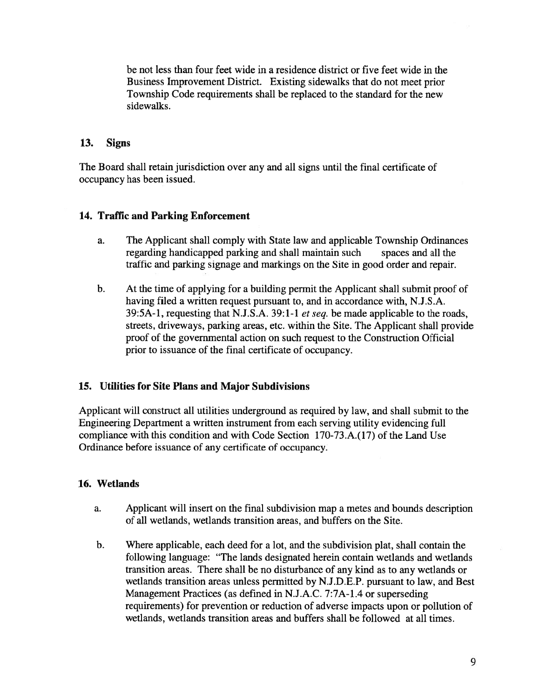be not less than four feet wide in <sup>a</sup> residence district or five feet wide in the Business Improvement District. Existing sidewalks that do not meet prior Township Code requirements shall be replaced to the standard for the new sidewalks.

# 13. Signs

The Board shall retain jurisdiction over any and all signs until the final certificate of occupancy has been issued.

# 14. Traffic and Parking Enforcement

- a. The Applicant shall comply with State law and applicable Township Ordinances regarding handicapped parking and shall maintain such spaces and all the traffic and parking signage and markings on the Site in good order and repair.
- b. At the time of applying for <sup>a</sup> building permit the Applicant shall submit proof of having filed <sup>a</sup> written reques<sup>t</sup> pursuan<sup>t</sup> to, and in accordance with, N.J.S.A. 39:5A-1, requesting that N.J.S.A. 39:1-1 et seq. be made applicable to the roads, streets, driveways, parking areas, etc. within the Site. The Applicant shall provide proof of the governmental action on such reques<sup>t</sup> to the Construction Official prior to issuance of the final certificate of occupancy.

## 15. Utilities for Site Plans and Major Subdivisions

Applicant will construct all utilities underground as required by law, and shall submit to the Engineering Department <sup>a</sup> written instrument from each serving utility evidencing full compliance with this condition and with Code Section 170-73.A.(17) of the Land Use Ordinance before issuance of any certificate of occupancy.

## 16. Wetlands

- a. Applicant will insert on the final subdivision map <sup>a</sup> metes and bounds description of all wetlands, wetlands transition areas, and buffers on the Site.
- b. Where applicable, each deed for <sup>a</sup> lot, and the subdivision plat, shall contain the following language: "The lands designated herein contain wetlands and wetlands transition areas. There shall be no disturbance of any kind as to any wetlands or wetlands transition areas unless permitted by N.J.D.E.P. pursuan<sup>t</sup> to law, and Best Management Practices (as defined in N.J.A.C. 7:7A-1 .4 or superseding requirements) for prevention or reduction of adverse impacts upon or pollution of wetlands, wetlands transition areas and buffers shall be followed at all times.